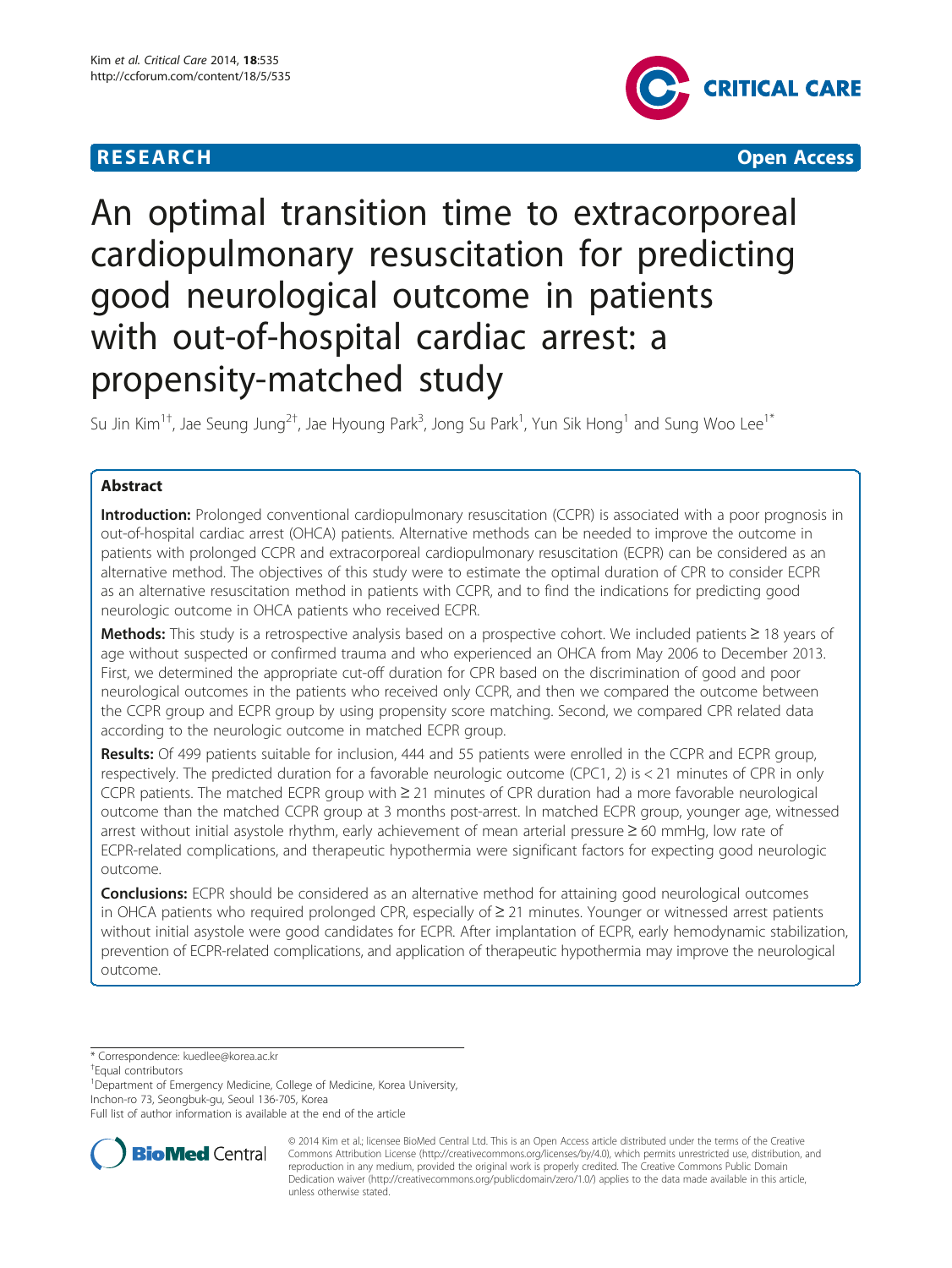# **RESEARCH CHEAR CHEAR CHEAR CHEAR CHEAR CHEAR CHEAR CHEAR CHEAR CHEAR CHEAR CHEAR CHEAR CHEAR CHEAR CHEAR CHEAR**



# An optimal transition time to extracorporeal cardiopulmonary resuscitation for predicting good neurological outcome in patients with out-of-hospital cardiac arrest: a propensity-matched study

Su Jin Kim $^{1\dagger}$ , Jae Seung Jung $^{2\dagger}$ , Jae Hyoung Park $^3$ , Jong Su Park $^1$ , Yun Sik Hong $^1$  and Sung Woo Lee $^{1*}$ 

# Abstract

Introduction: Prolonged conventional cardiopulmonary resuscitation (CCPR) is associated with a poor prognosis in out-of-hospital cardiac arrest (OHCA) patients. Alternative methods can be needed to improve the outcome in patients with prolonged CCPR and extracorporeal cardiopulmonary resuscitation (ECPR) can be considered as an alternative method. The objectives of this study were to estimate the optimal duration of CPR to consider ECPR as an alternative resuscitation method in patients with CCPR, and to find the indications for predicting good neurologic outcome in OHCA patients who received ECPR.

Methods: This study is a retrospective analysis based on a prospective cohort. We included patients ≥ 18 years of age without suspected or confirmed trauma and who experienced an OHCA from May 2006 to December 2013. First, we determined the appropriate cut-off duration for CPR based on the discrimination of good and poor neurological outcomes in the patients who received only CCPR, and then we compared the outcome between the CCPR group and ECPR group by using propensity score matching. Second, we compared CPR related data according to the neurologic outcome in matched ECPR group.

Results: Of 499 patients suitable for inclusion, 444 and 55 patients were enrolled in the CCPR and ECPR group, respectively. The predicted duration for a favorable neurologic outcome (CPC1, 2) is < 21 minutes of CPR in only CCPR patients. The matched ECPR group with ≥ 21 minutes of CPR duration had a more favorable neurological outcome than the matched CCPR group at 3 months post-arrest. In matched ECPR group, younger age, witnessed arrest without initial asystole rhythm, early achievement of mean arterial pressure ≥ 60 mmHg, low rate of ECPR-related complications, and therapeutic hypothermia were significant factors for expecting good neurologic outcome.

**Conclusions:** ECPR should be considered as an alternative method for attaining good neurological outcomes in OHCA patients who required prolonged CPR, especially of ≥ 21 minutes. Younger or witnessed arrest patients without initial asystole were good candidates for ECPR. After implantation of ECPR, early hemodynamic stabilization, prevention of ECPR-related complications, and application of therapeutic hypothermia may improve the neurological outcome.

\* Correspondence: [kuedlee@korea.ac.kr](mailto:kuedlee@korea.ac.kr) †

<sup>1</sup> Department of Emergency Medicine, College of Medicine, Korea University, Inchon-ro 73, Seongbuk-gu, Seoul 136-705, Korea

Full list of author information is available at the end of the article



© 2014 Kim et al.; licensee BioMed Central Ltd. This is an Open Access article distributed under the terms of the Creative Commons Attribution License [\(http://creativecommons.org/licenses/by/4.0\)](http://creativecommons.org/licenses/by/4.0), which permits unrestricted use, distribution, and reproduction in any medium, provided the original work is properly credited. The Creative Commons Public Domain Dedication waiver [\(http://creativecommons.org/publicdomain/zero/1.0/](http://creativecommons.org/publicdomain/zero/1.0/)) applies to the data made available in this article, unless otherwise stated.

Equal contributors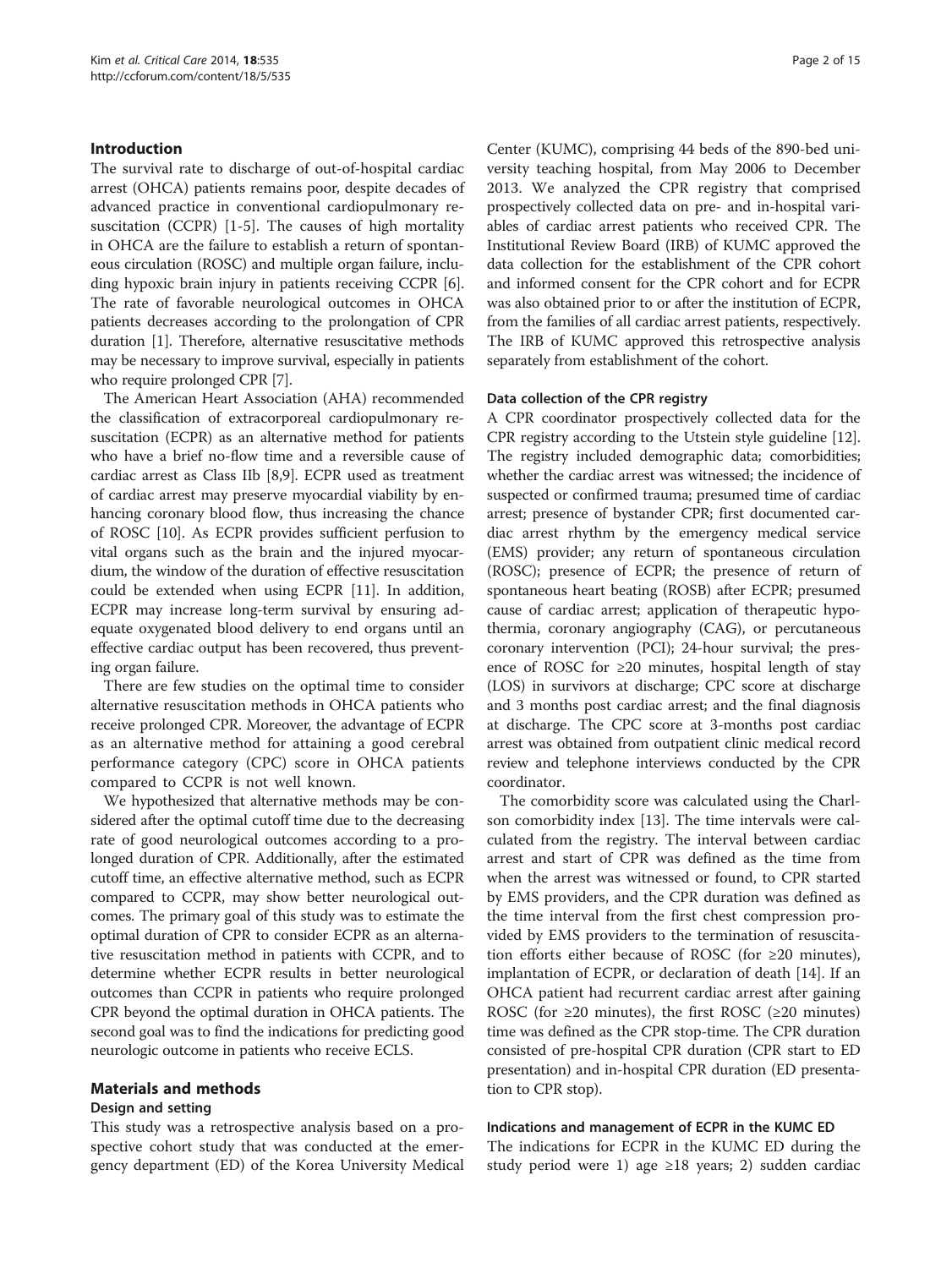## Introduction

The survival rate to discharge of out-of-hospital cardiac arrest (OHCA) patients remains poor, despite decades of advanced practice in conventional cardiopulmonary resuscitation (CCPR) [[1-5](#page-13-0)]. The causes of high mortality in OHCA are the failure to establish a return of spontaneous circulation (ROSC) and multiple organ failure, including hypoxic brain injury in patients receiving CCPR [[6](#page-14-0)]. The rate of favorable neurological outcomes in OHCA patients decreases according to the prolongation of CPR duration [\[1\]](#page-13-0). Therefore, alternative resuscitative methods may be necessary to improve survival, especially in patients who require prolonged CPR [\[7\]](#page-14-0).

The American Heart Association (AHA) recommended the classification of extracorporeal cardiopulmonary resuscitation (ECPR) as an alternative method for patients who have a brief no-flow time and a reversible cause of cardiac arrest as Class IIb [[8,9](#page-14-0)]. ECPR used as treatment of cardiac arrest may preserve myocardial viability by enhancing coronary blood flow, thus increasing the chance of ROSC [[10\]](#page-14-0). As ECPR provides sufficient perfusion to vital organs such as the brain and the injured myocardium, the window of the duration of effective resuscitation could be extended when using ECPR [[11](#page-14-0)]. In addition, ECPR may increase long-term survival by ensuring adequate oxygenated blood delivery to end organs until an effective cardiac output has been recovered, thus preventing organ failure.

There are few studies on the optimal time to consider alternative resuscitation methods in OHCA patients who receive prolonged CPR. Moreover, the advantage of ECPR as an alternative method for attaining a good cerebral performance category (CPC) score in OHCA patients compared to CCPR is not well known.

We hypothesized that alternative methods may be considered after the optimal cutoff time due to the decreasing rate of good neurological outcomes according to a prolonged duration of CPR. Additionally, after the estimated cutoff time, an effective alternative method, such as ECPR compared to CCPR, may show better neurological outcomes. The primary goal of this study was to estimate the optimal duration of CPR to consider ECPR as an alternative resuscitation method in patients with CCPR, and to determine whether ECPR results in better neurological outcomes than CCPR in patients who require prolonged CPR beyond the optimal duration in OHCA patients. The second goal was to find the indications for predicting good neurologic outcome in patients who receive ECLS.

## Materials and methods

## Design and setting

This study was a retrospective analysis based on a prospective cohort study that was conducted at the emergency department (ED) of the Korea University Medical

Center (KUMC), comprising 44 beds of the 890-bed university teaching hospital, from May 2006 to December 2013. We analyzed the CPR registry that comprised prospectively collected data on pre- and in-hospital variables of cardiac arrest patients who received CPR. The Institutional Review Board (IRB) of KUMC approved the data collection for the establishment of the CPR cohort and informed consent for the CPR cohort and for ECPR was also obtained prior to or after the institution of ECPR, from the families of all cardiac arrest patients, respectively. The IRB of KUMC approved this retrospective analysis separately from establishment of the cohort.

## Data collection of the CPR registry

A CPR coordinator prospectively collected data for the CPR registry according to the Utstein style guideline [[12](#page-14-0)]. The registry included demographic data; comorbidities; whether the cardiac arrest was witnessed; the incidence of suspected or confirmed trauma; presumed time of cardiac arrest; presence of bystander CPR; first documented cardiac arrest rhythm by the emergency medical service (EMS) provider; any return of spontaneous circulation (ROSC); presence of ECPR; the presence of return of spontaneous heart beating (ROSB) after ECPR; presumed cause of cardiac arrest; application of therapeutic hypothermia, coronary angiography (CAG), or percutaneous coronary intervention (PCI); 24-hour survival; the presence of ROSC for  $\geq 20$  minutes, hospital length of stay (LOS) in survivors at discharge; CPC score at discharge and 3 months post cardiac arrest; and the final diagnosis at discharge. The CPC score at 3-months post cardiac arrest was obtained from outpatient clinic medical record review and telephone interviews conducted by the CPR coordinator.

The comorbidity score was calculated using the Charlson comorbidity index [[13\]](#page-14-0). The time intervals were calculated from the registry. The interval between cardiac arrest and start of CPR was defined as the time from when the arrest was witnessed or found, to CPR started by EMS providers, and the CPR duration was defined as the time interval from the first chest compression provided by EMS providers to the termination of resuscitation efforts either because of ROSC (for ≥20 minutes), implantation of ECPR, or declaration of death [\[14\]](#page-14-0). If an OHCA patient had recurrent cardiac arrest after gaining ROSC (for  $\geq$ 20 minutes), the first ROSC ( $\geq$ 20 minutes) time was defined as the CPR stop-time. The CPR duration consisted of pre-hospital CPR duration (CPR start to ED presentation) and in-hospital CPR duration (ED presentation to CPR stop).

## Indications and management of ECPR in the KUMC ED

The indications for ECPR in the KUMC ED during the study period were 1) age ≥18 years; 2) sudden cardiac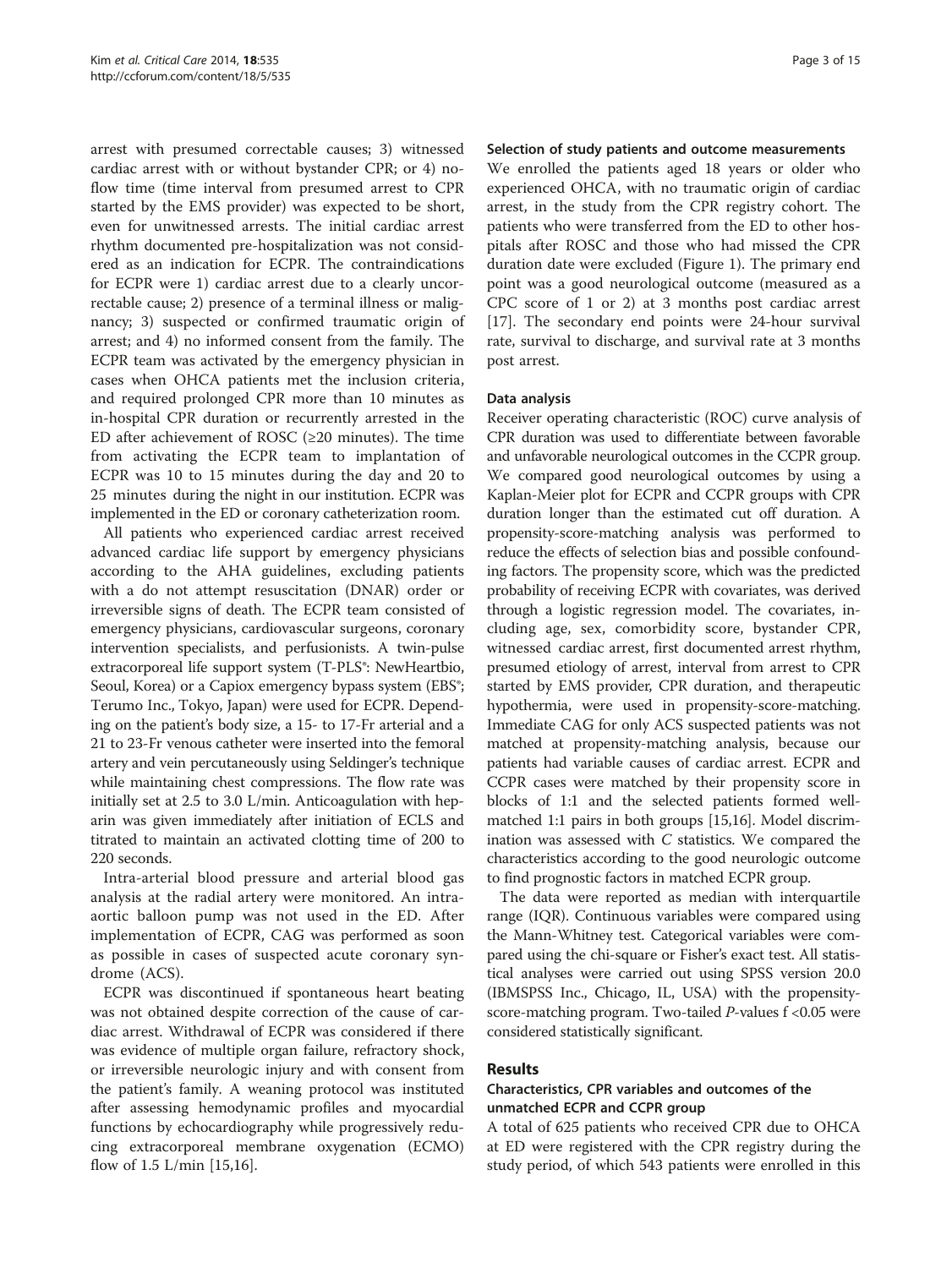arrest with presumed correctable causes; 3) witnessed cardiac arrest with or without bystander CPR; or 4) noflow time (time interval from presumed arrest to CPR started by the EMS provider) was expected to be short, even for unwitnessed arrests. The initial cardiac arrest rhythm documented pre-hospitalization was not considered as an indication for ECPR. The contraindications for ECPR were 1) cardiac arrest due to a clearly uncorrectable cause; 2) presence of a terminal illness or malignancy; 3) suspected or confirmed traumatic origin of arrest; and 4) no informed consent from the family. The ECPR team was activated by the emergency physician in cases when OHCA patients met the inclusion criteria, and required prolonged CPR more than 10 minutes as in-hospital CPR duration or recurrently arrested in the ED after achievement of ROSC ( $\geq$ 20 minutes). The time from activating the ECPR team to implantation of ECPR was 10 to 15 minutes during the day and 20 to 25 minutes during the night in our institution. ECPR was implemented in the ED or coronary catheterization room.

All patients who experienced cardiac arrest received advanced cardiac life support by emergency physicians according to the AHA guidelines, excluding patients with a do not attempt resuscitation (DNAR) order or irreversible signs of death. The ECPR team consisted of emergency physicians, cardiovascular surgeons, coronary intervention specialists, and perfusionists. A twin-pulse extracorporeal life support system (T-PLS<sup>®</sup>: NewHeartbio, Seoul, Korea) or a Capiox emergency bypass system (EBS<sup>®</sup>; Terumo Inc., Tokyo, Japan) were used for ECPR. Depending on the patient's body size, a 15- to 17-Fr arterial and a 21 to 23-Fr venous catheter were inserted into the femoral artery and vein percutaneously using Seldinger's technique while maintaining chest compressions. The flow rate was initially set at 2.5 to 3.0 L/min. Anticoagulation with heparin was given immediately after initiation of ECLS and titrated to maintain an activated clotting time of 200 to 220 seconds.

Intra-arterial blood pressure and arterial blood gas analysis at the radial artery were monitored. An intraaortic balloon pump was not used in the ED. After implementation of ECPR, CAG was performed as soon as possible in cases of suspected acute coronary syndrome (ACS).

ECPR was discontinued if spontaneous heart beating was not obtained despite correction of the cause of cardiac arrest. Withdrawal of ECPR was considered if there was evidence of multiple organ failure, refractory shock, or irreversible neurologic injury and with consent from the patient's family. A weaning protocol was instituted after assessing hemodynamic profiles and myocardial functions by echocardiography while progressively reducing extracorporeal membrane oxygenation (ECMO) flow of 1.5 L/min [\[15,16\]](#page-14-0).

## Selection of study patients and outcome measurements

We enrolled the patients aged 18 years or older who experienced OHCA, with no traumatic origin of cardiac arrest, in the study from the CPR registry cohort. The patients who were transferred from the ED to other hospitals after ROSC and those who had missed the CPR duration date were excluded (Figure [1\)](#page-3-0). The primary end point was a good neurological outcome (measured as a CPC score of 1 or 2) at 3 months post cardiac arrest [[17\]](#page-14-0). The secondary end points were 24-hour survival rate, survival to discharge, and survival rate at 3 months post arrest.

# Data analysis

Receiver operating characteristic (ROC) curve analysis of CPR duration was used to differentiate between favorable and unfavorable neurological outcomes in the CCPR group. We compared good neurological outcomes by using a Kaplan-Meier plot for ECPR and CCPR groups with CPR duration longer than the estimated cut off duration. A propensity-score-matching analysis was performed to reduce the effects of selection bias and possible confounding factors. The propensity score, which was the predicted probability of receiving ECPR with covariates, was derived through a logistic regression model. The covariates, including age, sex, comorbidity score, bystander CPR, witnessed cardiac arrest, first documented arrest rhythm, presumed etiology of arrest, interval from arrest to CPR started by EMS provider, CPR duration, and therapeutic hypothermia, were used in propensity-score-matching. Immediate CAG for only ACS suspected patients was not matched at propensity-matching analysis, because our patients had variable causes of cardiac arrest. ECPR and CCPR cases were matched by their propensity score in blocks of 1:1 and the selected patients formed wellmatched 1:1 pairs in both groups [\[15,16\]](#page-14-0). Model discrimination was assessed with C statistics. We compared the characteristics according to the good neurologic outcome to find prognostic factors in matched ECPR group.

The data were reported as median with interquartile range (IQR). Continuous variables were compared using the Mann-Whitney test. Categorical variables were compared using the chi-square or Fisher's exact test. All statistical analyses were carried out using SPSS version 20.0 (IBMSPSS Inc., Chicago, IL, USA) with the propensityscore-matching program. Two-tailed P-values f <0.05 were considered statistically significant.

# Results

# Characteristics, CPR variables and outcomes of the unmatched ECPR and CCPR group

A total of 625 patients who received CPR due to OHCA at ED were registered with the CPR registry during the study period, of which 543 patients were enrolled in this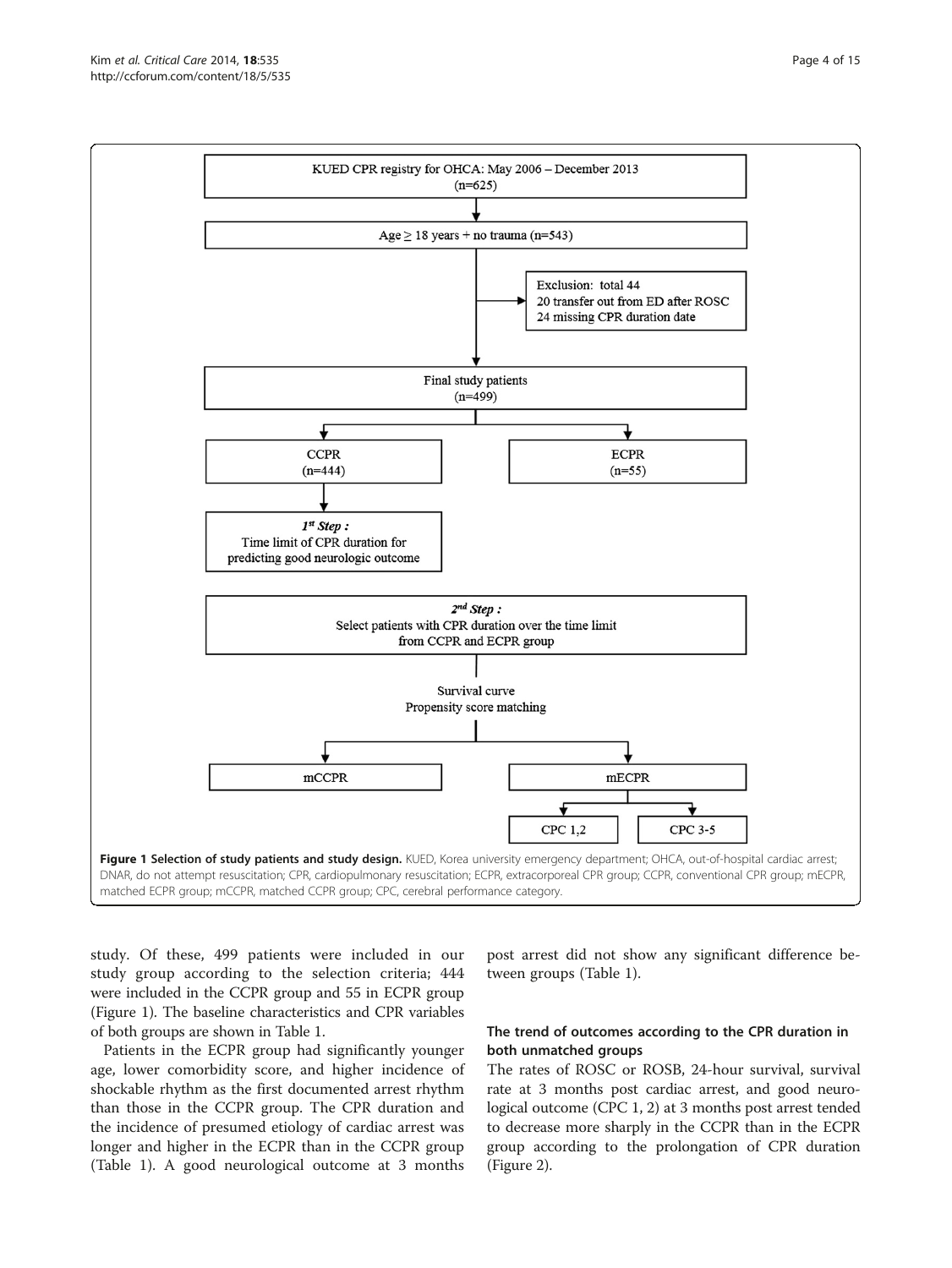<span id="page-3-0"></span>

study. Of these, 499 patients were included in our study group according to the selection criteria; 444 were included in the CCPR group and 55 in ECPR group (Figure 1). The baseline characteristics and CPR variables of both groups are shown in Table [1](#page-4-0).

Patients in the ECPR group had significantly younger age, lower comorbidity score, and higher incidence of shockable rhythm as the first documented arrest rhythm than those in the CCPR group. The CPR duration and the incidence of presumed etiology of cardiac arrest was longer and higher in the ECPR than in the CCPR group (Table [1](#page-4-0)). A good neurological outcome at 3 months

post arrest did not show any significant difference between groups (Table [1\)](#page-4-0).

# The trend of outcomes according to the CPR duration in both unmatched groups

The rates of ROSC or ROSB, 24-hour survival, survival rate at 3 months post cardiac arrest, and good neurological outcome (CPC 1, 2) at 3 months post arrest tended to decrease more sharply in the CCPR than in the ECPR group according to the prolongation of CPR duration (Figure [2](#page-5-0)).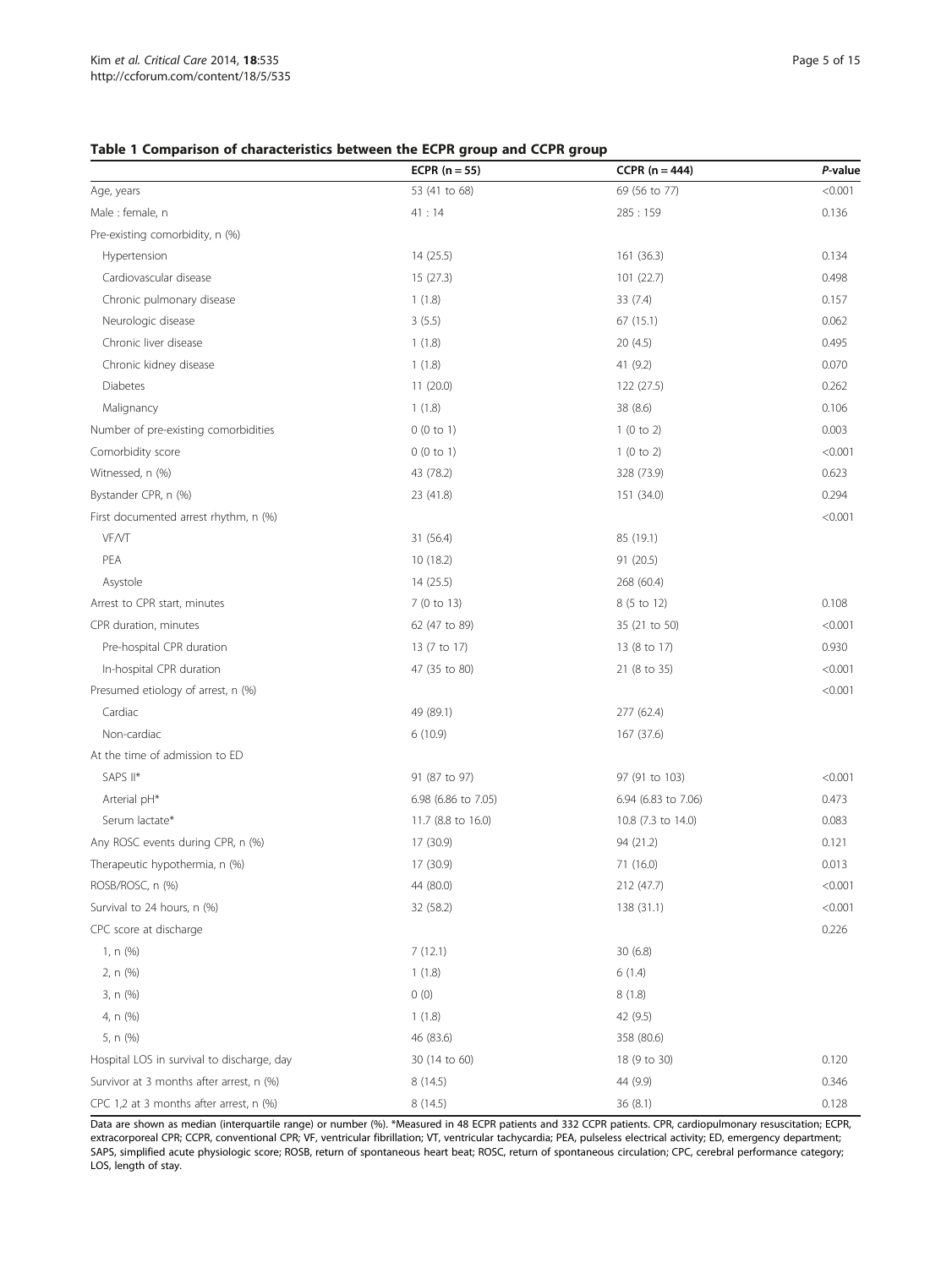# <span id="page-4-0"></span>Table 1 Comparison of characteristics between the ECPR group and CCPR group

|                                            | ECPR $(n = 55)$     | $CCPR (n = 444)$    | P-value |
|--------------------------------------------|---------------------|---------------------|---------|
| Age, years                                 | 53 (41 to 68)       | 69 (56 to 77)       | < 0.001 |
| Male : female, n                           | 41:14               | 285:159             | 0.136   |
| Pre-existing comorbidity, n (%)            |                     |                     |         |
| Hypertension                               | 14(25.5)            | 161 (36.3)          | 0.134   |
| Cardiovascular disease                     | 15(27.3)            | 101 (22.7)          | 0.498   |
| Chronic pulmonary disease                  | 1(1.8)              | 33 (7.4)            | 0.157   |
| Neurologic disease                         | 3(5.5)              | 67 (15.1)           | 0.062   |
| Chronic liver disease                      | 1(1.8)              | 20(4.5)             | 0.495   |
| Chronic kidney disease                     | 1(1.8)              | 41 (9.2)            | 0.070   |
| Diabetes                                   | 11(20.0)            | 122 (27.5)          | 0.262   |
| Malignancy                                 | 1(1.8)              | 38 (8.6)            | 0.106   |
| Number of pre-existing comorbidities       | 0(0 to 1)           | 1(0 to 2)           | 0.003   |
| Comorbidity score                          | 0(0 to 1)           | 1(0 to 2)           | < 0.001 |
| Witnessed, n (%)                           | 43 (78.2)           | 328 (73.9)          | 0.623   |
| Bystander CPR, n (%)                       | 23 (41.8)           | 151 (34.0)          | 0.294   |
| First documented arrest rhythm, n (%)      |                     |                     | < 0.001 |
| VF/VT                                      | 31 (56.4)           | 85 (19.1)           |         |
| PEA                                        | 10(18.2)            | 91 (20.5)           |         |
| Asystole                                   | 14 (25.5)           | 268 (60.4)          |         |
| Arrest to CPR start, minutes               | 7 (0 to 13)         | 8 (5 to 12)         | 0.108   |
| CPR duration, minutes                      | 62 (47 to 89)       | 35 (21 to 50)       | < 0.001 |
| Pre-hospital CPR duration                  | 13 (7 to 17)        | 13 (8 to 17)        | 0.930   |
| In-hospital CPR duration                   | 47 (35 to 80)       | 21 (8 to 35)        | < 0.001 |
| Presumed etiology of arrest, n (%)         |                     |                     | < 0.001 |
| Cardiac                                    | 49 (89.1)           | 277 (62.4)          |         |
| Non-cardiac                                | 6(10.9)             | 167 (37.6)          |         |
| At the time of admission to ED             |                     |                     |         |
| SAPS II*                                   | 91 (87 to 97)       | 97 (91 to 103)      | < 0.001 |
| Arterial pH*                               | 6.98 (6.86 to 7.05) | 6.94 (6.83 to 7.06) | 0.473   |
| Serum lactate*                             | 11.7 (8.8 to 16.0)  | 10.8 (7.3 to 14.0)  | 0.083   |
| Any ROSC events during CPR, n (%)          | 17 (30.9)           | 94 (21.2)           | 0.121   |
| Therapeutic hypothermia, n (%)             | 17 (30.9)           | 71 (16.0)           | 0.013   |
| ROSB/ROSC, n (%)                           | 44 (80.0)           | 212 (47.7)          | < 0.001 |
| Survival to 24 hours, n (%)                | 32 (58.2)           | 138 (31.1)          | < 0.001 |
| CPC score at discharge                     |                     |                     | 0.226   |
| 1, n (%)                                   | 7(12.1)             | 30(6.8)             |         |
| 2, n (%)                                   | 1(1.8)              | 6(1.4)              |         |
| 3, n (%)                                   | 0(0)                | 8(1.8)              |         |
| 4, n (%)                                   | 1(1.8)              | 42 (9.5)            |         |
| 5, n (%)                                   | 46 (83.6)           | 358 (80.6)          |         |
| Hospital LOS in survival to discharge, day | 30 (14 to 60)       | 18 (9 to 30)        | 0.120   |
| Survivor at 3 months after arrest, n (%)   | 8(14.5)             | 44 (9.9)            | 0.346   |
| CPC 1,2 at 3 months after arrest, n (%)    | 8(14.5)             | 36(8.1)             | 0.128   |

Data are shown as median (interquartile range) or number (%). \*Measured in 48 ECPR patients and 332 CCPR patients. CPR, cardiopulmonary resuscitation; ECPR, extracorporeal CPR; CCPR, conventional CPR; VF, ventricular fibrillation; VT, ventricular tachycardia; PEA, pulseless electrical activity; ED, emergency department; SAPS, simplified acute physiologic score; ROSB, return of spontaneous heart beat; ROSC, return of spontaneous circulation; CPC, cerebral performance category; LOS, length of stay.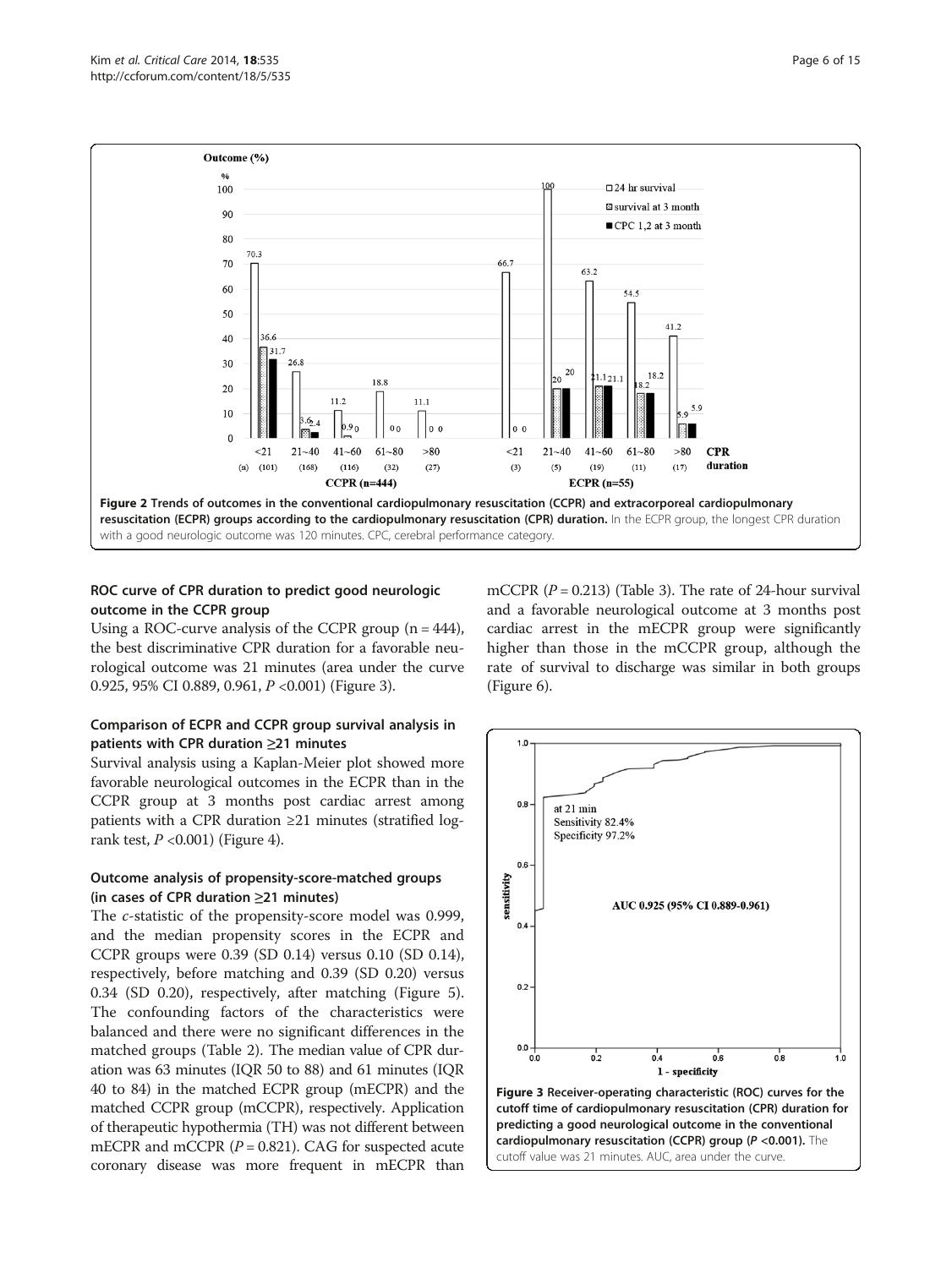<span id="page-5-0"></span>

# ROC curve of CPR duration to predict good neurologic outcome in the CCPR group

Using a ROC-curve analysis of the CCPR group  $(n = 444)$ , the best discriminative CPR duration for a favorable neurological outcome was 21 minutes (area under the curve 0.925, 95% CI 0.889, 0.961, P <0.001) (Figure 3).

# Comparison of ECPR and CCPR group survival analysis in patients with CPR duration ≥21 minutes

Survival analysis using a Kaplan-Meier plot showed more favorable neurological outcomes in the ECPR than in the CCPR group at 3 months post cardiac arrest among patients with a CPR duration ≥21 minutes (stratified logrank test,  $P < 0.001$ ) (Figure [4](#page-6-0)).

# Outcome analysis of propensity-score-matched groups (in cases of CPR duration ≥21 minutes)

The c-statistic of the propensity-score model was 0.999, and the median propensity scores in the ECPR and CCPR groups were 0.39 (SD 0.14) versus 0.10 (SD 0.14), respectively, before matching and 0.39 (SD 0.20) versus 0.34 (SD 0.20), respectively, after matching (Figure [5](#page-6-0)). The confounding factors of the characteristics were balanced and there were no significant differences in the matched groups (Table [2](#page-7-0)). The median value of CPR duration was 63 minutes (IQR 50 to 88) and 61 minutes (IQR 40 to 84) in the matched ECPR group (mECPR) and the matched CCPR group (mCCPR), respectively. Application of therapeutic hypothermia (TH) was not different between mECPR and mCCPR  $(P = 0.821)$ . CAG for suspected acute coronary disease was more frequent in mECPR than

mCCPR  $(P = 0.213)$  (Table [3](#page-8-0)). The rate of 24-hour survival and a favorable neurological outcome at 3 months post cardiac arrest in the mECPR group were significantly higher than those in the mCCPR group, although the rate of survival to discharge was similar in both groups (Figure [6](#page-9-0)).

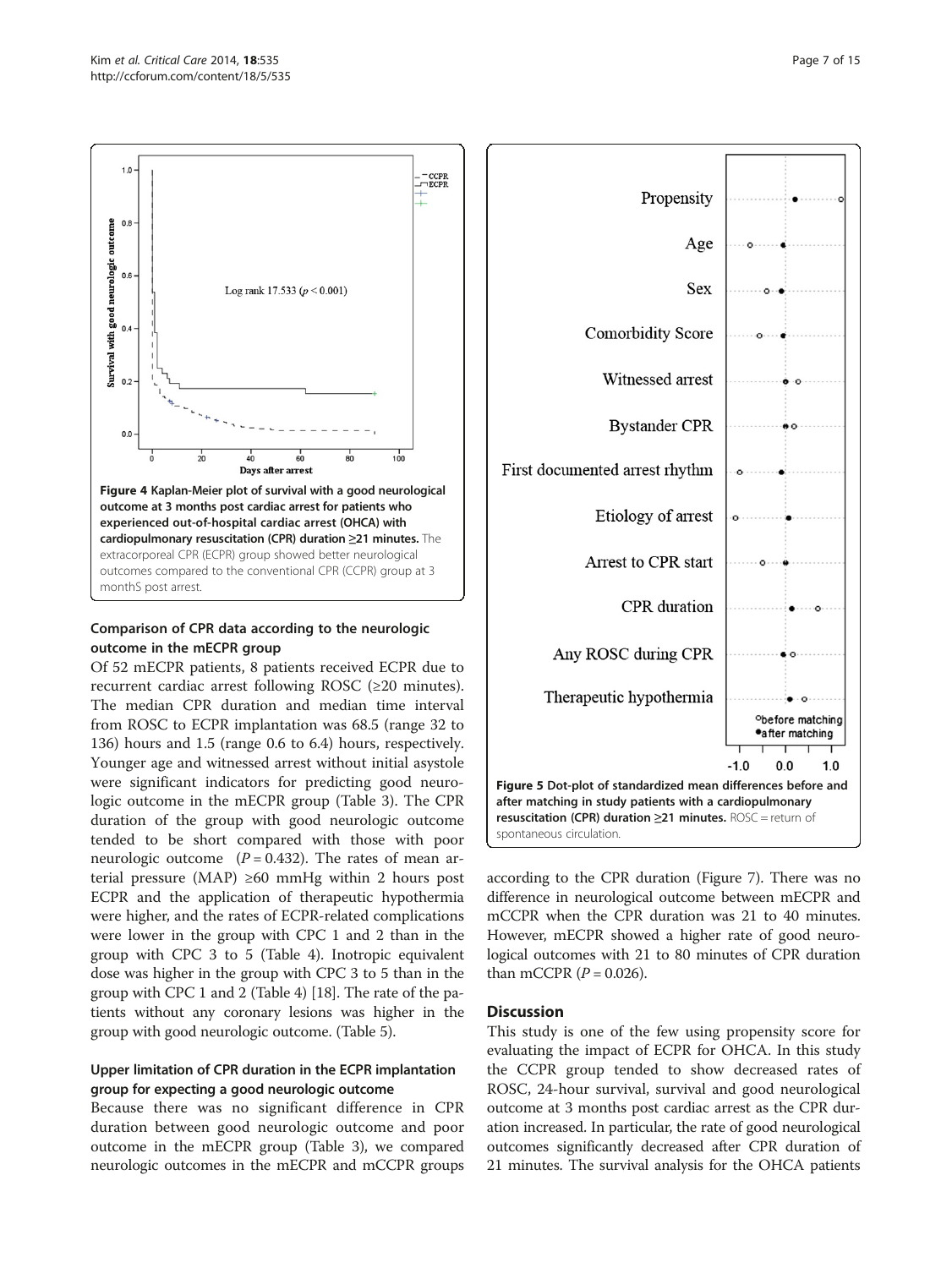<span id="page-6-0"></span>

# Comparison of CPR data according to the neurologic outcome in the mECPR group

Of 52 mECPR patients, 8 patients received ECPR due to recurrent cardiac arrest following ROSC (≥20 minutes). The median CPR duration and median time interval from ROSC to ECPR implantation was 68.5 (range 32 to 136) hours and 1.5 (range 0.6 to 6.4) hours, respectively. Younger age and witnessed arrest without initial asystole were significant indicators for predicting good neurologic outcome in the mECPR group (Table [3\)](#page-8-0). The CPR duration of the group with good neurologic outcome tended to be short compared with those with poor neurologic outcome  $(P = 0.432)$ . The rates of mean arterial pressure (MAP)  $\geq 60$  mmHg within 2 hours post ECPR and the application of therapeutic hypothermia were higher, and the rates of ECPR-related complications were lower in the group with CPC 1 and 2 than in the group with CPC 3 to 5 (Table [4\)](#page-10-0). Inotropic equivalent dose was higher in the group with CPC 3 to 5 than in the group with CPC 1 and 2 (Table [4](#page-10-0)) [[18\]](#page-14-0). The rate of the patients without any coronary lesions was higher in the group with good neurologic outcome. (Table [5\)](#page-11-0).

# Upper limitation of CPR duration in the ECPR implantation group for expecting a good neurologic outcome

Because there was no significant difference in CPR duration between good neurologic outcome and poor outcome in the mECPR group (Table [3](#page-8-0)), we compared neurologic outcomes in the mECPR and mCCPR groups



according to the CPR duration (Figure [7\)](#page-12-0). There was no difference in neurological outcome between mECPR and mCCPR when the CPR duration was 21 to 40 minutes. However, mECPR showed a higher rate of good neurological outcomes with 21 to 80 minutes of CPR duration than mCCPR  $(P = 0.026)$ .

# **Discussion**

This study is one of the few using propensity score for evaluating the impact of ECPR for OHCA. In this study the CCPR group tended to show decreased rates of ROSC, 24-hour survival, survival and good neurological outcome at 3 months post cardiac arrest as the CPR duration increased. In particular, the rate of good neurological outcomes significantly decreased after CPR duration of 21 minutes. The survival analysis for the OHCA patients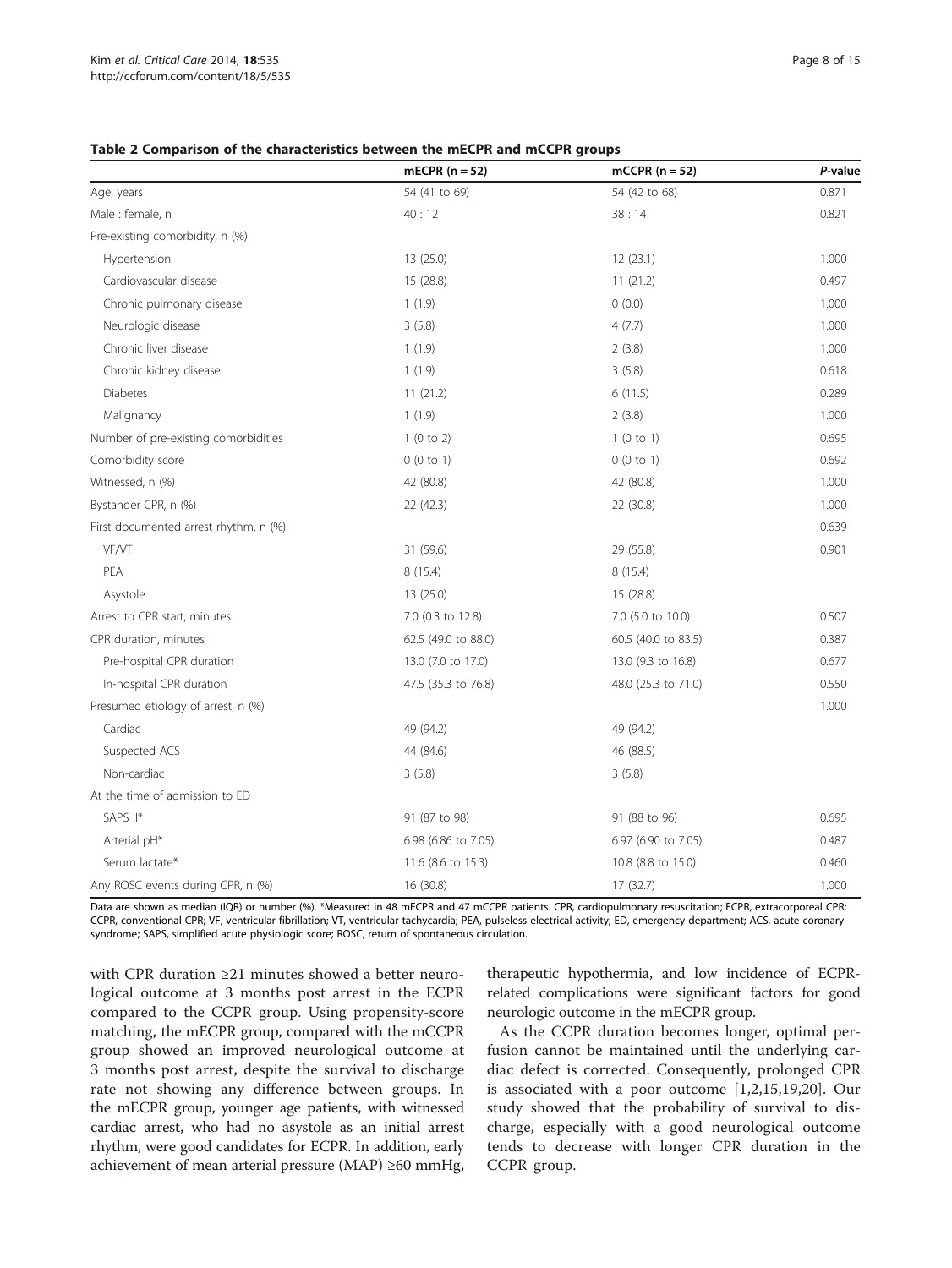## <span id="page-7-0"></span>Table 2 Comparison of the characteristics between the mECPR and mCCPR groups

|                                       | mECPR $(n = 52)$    | mCCPR $(n = 52)$    | P-value |
|---------------------------------------|---------------------|---------------------|---------|
| Age, years                            | 54 (41 to 69)       | 54 (42 to 68)       | 0.871   |
| Male: female, n                       | 40:12               | 38:14               | 0.821   |
| Pre-existing comorbidity, n (%)       |                     |                     |         |
| Hypertension                          | 13 (25.0)           | 12(23.1)            | 1.000   |
| Cardiovascular disease                | 15(28.8)            | 11(21.2)            | 0.497   |
| Chronic pulmonary disease             | 1(1.9)              | 0(0.0)              | 1.000   |
| Neurologic disease                    | 3(5.8)              | 4(7.7)              | 1.000   |
| Chronic liver disease                 | 1(1.9)              | 2(3.8)              | 1.000   |
| Chronic kidney disease                | 1(1.9)              | 3(5.8)              | 0.618   |
| <b>Diabetes</b>                       | 11(21.2)            | 6(11.5)             | 0.289   |
| Malignancy                            | 1(1.9)              | 2(3.8)              | 1.000   |
| Number of pre-existing comorbidities  | 1(0 to 2)           | 1(0 to 1)           | 0.695   |
| Comorbidity score                     | 0(0 to 1)           | 0(0 to 1)           | 0.692   |
| Witnessed, n (%)                      | 42 (80.8)           | 42 (80.8)           | 1.000   |
| Bystander CPR, n (%)                  | 22 (42.3)           | 22 (30.8)           | 1.000   |
| First documented arrest rhythm, n (%) |                     |                     | 0.639   |
| VF/VT                                 | 31 (59.6)           | 29 (55.8)           | 0.901   |
| PEA                                   | 8(15.4)             | 8(15.4)             |         |
| Asystole                              | 13 (25.0)           | 15 (28.8)           |         |
| Arrest to CPR start, minutes          | 7.0 (0.3 to 12.8)   | 7.0 (5.0 to 10.0)   | 0.507   |
| CPR duration, minutes                 | 62.5 (49.0 to 88.0) | 60.5 (40.0 to 83.5) | 0.387   |
| Pre-hospital CPR duration             | 13.0 (7.0 to 17.0)  | 13.0 (9.3 to 16.8)  | 0.677   |
| In-hospital CPR duration              | 47.5 (35.3 to 76.8) | 48.0 (25.3 to 71.0) | 0.550   |
| Presumed etiology of arrest, n (%)    |                     |                     | 1.000   |
| Cardiac                               | 49 (94.2)           | 49 (94.2)           |         |
| Suspected ACS                         | 44 (84.6)           | 46 (88.5)           |         |
| Non-cardiac                           | 3(5.8)              | 3(5.8)              |         |
| At the time of admission to ED        |                     |                     |         |
| SAPS II*                              | 91 (87 to 98)       | 91 (88 to 96)       | 0.695   |
| Arterial pH*                          | 6.98 (6.86 to 7.05) | 6.97 (6.90 to 7.05) | 0.487   |
| Serum lactate*                        | 11.6 (8.6 to 15.3)  | 10.8 (8.8 to 15.0)  | 0.460   |
| Any ROSC events during CPR, n (%)     | 16 (30.8)           | 17 (32.7)           | 1.000   |

Data are shown as median (IQR) or number (%). \*Measured in 48 mECPR and 47 mCCPR patients. CPR, cardiopulmonary resuscitation; ECPR, extracorporeal CPR; CCPR, conventional CPR; VF, ventricular fibrillation; VT, ventricular tachycardia; PEA, pulseless electrical activity; ED, emergency department; ACS, acute coronary syndrome; SAPS, simplified acute physiologic score; ROSC, return of spontaneous circulation.

with CPR duration ≥21 minutes showed a better neurological outcome at 3 months post arrest in the ECPR compared to the CCPR group. Using propensity-score matching, the mECPR group, compared with the mCCPR group showed an improved neurological outcome at 3 months post arrest, despite the survival to discharge rate not showing any difference between groups. In the mECPR group, younger age patients, with witnessed cardiac arrest, who had no asystole as an initial arrest rhythm, were good candidates for ECPR. In addition, early achievement of mean arterial pressure (MAP) ≥60 mmHg,

therapeutic hypothermia, and low incidence of ECPRrelated complications were significant factors for good neurologic outcome in the mECPR group.

As the CCPR duration becomes longer, optimal perfusion cannot be maintained until the underlying cardiac defect is corrected. Consequently, prolonged CPR is associated with a poor outcome [[1,2](#page-13-0)[,15,19](#page-14-0),[20\]](#page-14-0). Our study showed that the probability of survival to discharge, especially with a good neurological outcome tends to decrease with longer CPR duration in the CCPR group.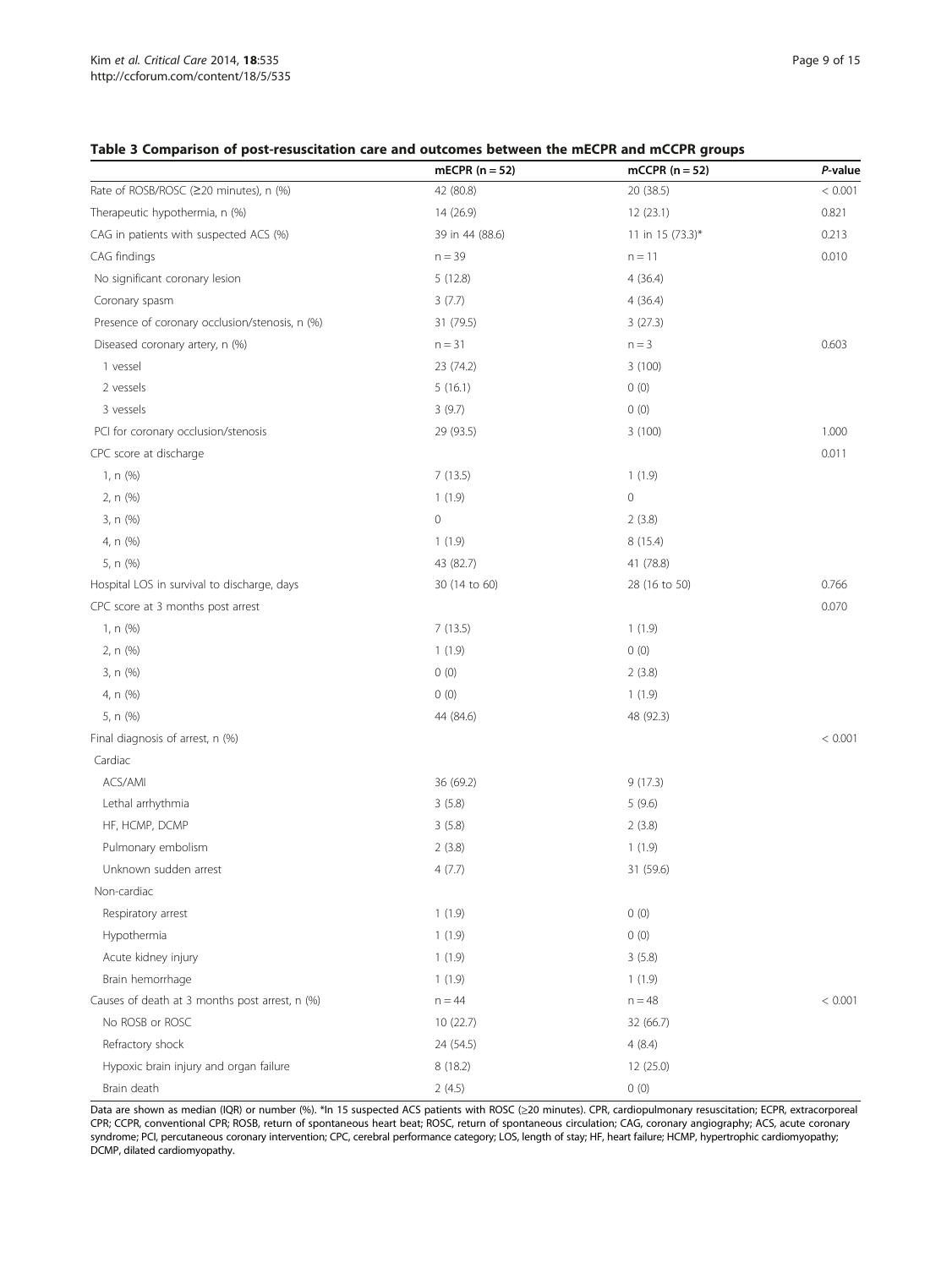# <span id="page-8-0"></span>Table 3 Comparison of post-resuscitation care and outcomes between the mECPR and mCCPR groups

|                                                | mECPR $(n = 52)$ | mCCPR $(n = 52)$    | P-value |
|------------------------------------------------|------------------|---------------------|---------|
| Rate of ROSB/ROSC (≥20 minutes), n (%)         | 42 (80.8)        | 20 (38.5)           | < 0.001 |
| Therapeutic hypothermia, n (%)                 | 14 (26.9)        | 12(23.1)            | 0.821   |
| CAG in patients with suspected ACS (%)         | 39 in 44 (88.6)  | 11 in 15 (73.3)*    | 0.213   |
| CAG findings                                   | $n = 39$         | $n = 11$            | 0.010   |
| No significant coronary lesion                 | 5(12.8)          | 4(36.4)             |         |
| Coronary spasm                                 | 3(7.7)           | 4(36.4)             |         |
| Presence of coronary occlusion/stenosis, n (%) | 31 (79.5)        | 3(27.3)             |         |
| Diseased coronary artery, n (%)                | $n = 31$         | $n = 3$             | 0.603   |
| 1 vessel                                       | 23 (74.2)        | 3(100)              |         |
| 2 vessels                                      | 5(16.1)          | 0(0)                |         |
| 3 vessels                                      | 3(9.7)           | 0(0)                |         |
| PCI for coronary occlusion/stenosis            | 29 (93.5)        | 3(100)              | 1.000   |
| CPC score at discharge                         |                  |                     | 0.011   |
| 1, n (%)                                       | 7(13.5)          | 1(1.9)              |         |
| 2, n (%)                                       | 1(1.9)           | $\mathsf{O}\xspace$ |         |
| 3, n (%)                                       | $\mathbf 0$      | 2(3.8)              |         |
| 4, n (%)                                       | 1(1.9)           | 8 (15.4)            |         |
| 5, n (%)                                       | 43 (82.7)        | 41 (78.8)           |         |
| Hospital LOS in survival to discharge, days    | 30 (14 to 60)    | 28 (16 to 50)       | 0.766   |
| CPC score at 3 months post arrest              |                  |                     | 0.070   |
| 1, n (%)                                       | 7(13.5)          | 1(1.9)              |         |
| 2, n (%)                                       | 1(1.9)           | 0(0)                |         |
| 3, n (%)                                       | 0(0)             | 2(3.8)              |         |
| 4, n (%)                                       | 0(0)             | 1(1.9)              |         |
| 5, n (%)                                       | 44 (84.6)        | 48 (92.3)           |         |
| Final diagnosis of arrest, n (%)               |                  |                     | < 0.001 |
| Cardiac                                        |                  |                     |         |
| ACS/AMI                                        | 36 (69.2)        | 9(17.3)             |         |
| Lethal arrhythmia                              | 3(5.8)           | 5(9.6)              |         |
| HF, HCMP, DCMP                                 | 3(5.8)           | 2(3.8)              |         |
| Pulmonary embolism                             | 2(3.8)           | 1(1.9)              |         |
| Unknown sudden arrest                          | 4(7.7)           | 31 (59.6)           |         |
| Non-cardiac                                    |                  |                     |         |
| Respiratory arrest                             | 1(1.9)           | 0(0)                |         |
| Hypothermia                                    | 1(1.9)           | 0(0)                |         |
| Acute kidney injury                            | 1(1.9)           | 3(5.8)              |         |
| Brain hemorrhage                               | 1(1.9)           | 1(1.9)              |         |
| Causes of death at 3 months post arrest, n (%) | $n = 44$         | $n = 48$            | < 0.001 |
| No ROSB or ROSC                                | 10(22.7)         | 32 (66.7)           |         |
| Refractory shock                               | 24 (54.5)        | 4(8.4)              |         |
| Hypoxic brain injury and organ failure         | 8 (18.2)         | 12 (25.0)           |         |
| Brain death                                    | 2(4.5)           | $0\ (0)$            |         |

Data are shown as median (IQR) or number (%). \*In 15 suspected ACS patients with ROSC (≥20 minutes). CPR, cardiopulmonary resuscitation; ECPR, extracorporeal CPR; CCPR, conventional CPR; ROSB, return of spontaneous heart beat; ROSC, return of spontaneous circulation; CAG, coronary angiography; ACS, acute coronary syndrome; PCI, percutaneous coronary intervention; CPC, cerebral performance category; LOS, length of stay; HF, heart failure; HCMP, hypertrophic cardiomyopathy; DCMP, dilated cardiomyopathy.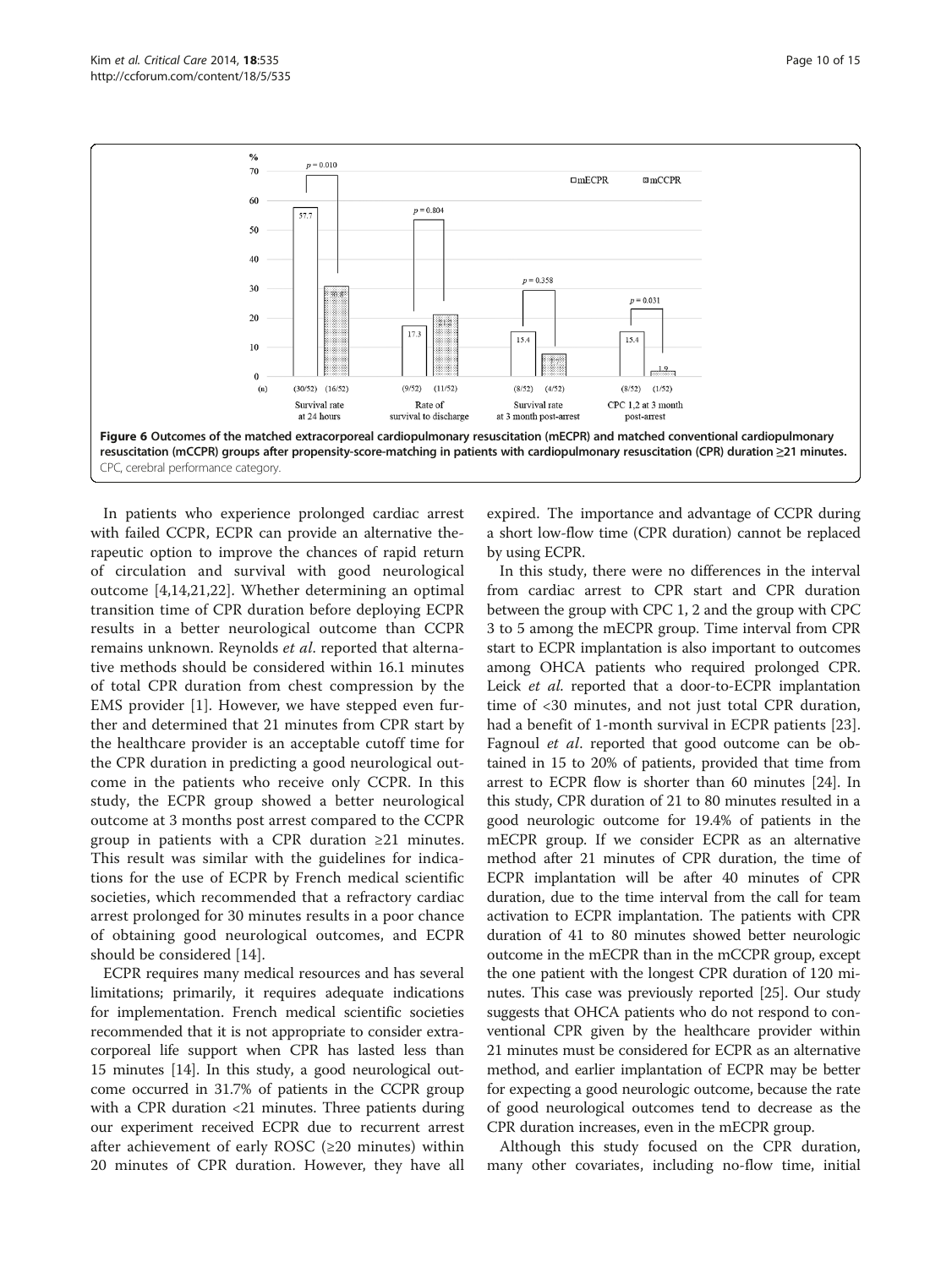<span id="page-9-0"></span>

In patients who experience prolonged cardiac arrest with failed CCPR, ECPR can provide an alternative therapeutic option to improve the chances of rapid return of circulation and survival with good neurological outcome [[4,](#page-13-0)[14,21](#page-14-0),[22\]](#page-14-0). Whether determining an optimal transition time of CPR duration before deploying ECPR results in a better neurological outcome than CCPR remains unknown. Reynolds et al. reported that alternative methods should be considered within 16.1 minutes of total CPR duration from chest compression by the EMS provider [\[1](#page-13-0)]. However, we have stepped even further and determined that 21 minutes from CPR start by the healthcare provider is an acceptable cutoff time for the CPR duration in predicting a good neurological outcome in the patients who receive only CCPR. In this study, the ECPR group showed a better neurological outcome at 3 months post arrest compared to the CCPR group in patients with a CPR duration  $\geq 21$  minutes. This result was similar with the guidelines for indications for the use of ECPR by French medical scientific societies, which recommended that a refractory cardiac arrest prolonged for 30 minutes results in a poor chance of obtaining good neurological outcomes, and ECPR should be considered [[14\]](#page-14-0).

ECPR requires many medical resources and has several limitations; primarily, it requires adequate indications for implementation. French medical scientific societies recommended that it is not appropriate to consider extracorporeal life support when CPR has lasted less than 15 minutes [\[14\]](#page-14-0). In this study, a good neurological outcome occurred in 31.7% of patients in the CCPR group with a CPR duration <21 minutes. Three patients during our experiment received ECPR due to recurrent arrest after achievement of early ROSC  $(\geq 20 \text{ minutes})$  within 20 minutes of CPR duration. However, they have all expired. The importance and advantage of CCPR during a short low-flow time (CPR duration) cannot be replaced by using ECPR.

In this study, there were no differences in the interval from cardiac arrest to CPR start and CPR duration between the group with CPC 1, 2 and the group with CPC 3 to 5 among the mECPR group. Time interval from CPR start to ECPR implantation is also important to outcomes among OHCA patients who required prolonged CPR. Leick et al. reported that a door-to-ECPR implantation time of <30 minutes, and not just total CPR duration, had a benefit of 1-month survival in ECPR patients [\[23](#page-14-0)]. Fagnoul et al. reported that good outcome can be obtained in 15 to 20% of patients, provided that time from arrest to ECPR flow is shorter than 60 minutes [\[24\]](#page-14-0). In this study, CPR duration of 21 to 80 minutes resulted in a good neurologic outcome for 19.4% of patients in the mECPR group. If we consider ECPR as an alternative method after 21 minutes of CPR duration, the time of ECPR implantation will be after 40 minutes of CPR duration, due to the time interval from the call for team activation to ECPR implantation. The patients with CPR duration of 41 to 80 minutes showed better neurologic outcome in the mECPR than in the mCCPR group, except the one patient with the longest CPR duration of 120 minutes. This case was previously reported [\[25\]](#page-14-0). Our study suggests that OHCA patients who do not respond to conventional CPR given by the healthcare provider within 21 minutes must be considered for ECPR as an alternative method, and earlier implantation of ECPR may be better for expecting a good neurologic outcome, because the rate of good neurological outcomes tend to decrease as the CPR duration increases, even in the mECPR group.

Although this study focused on the CPR duration, many other covariates, including no-flow time, initial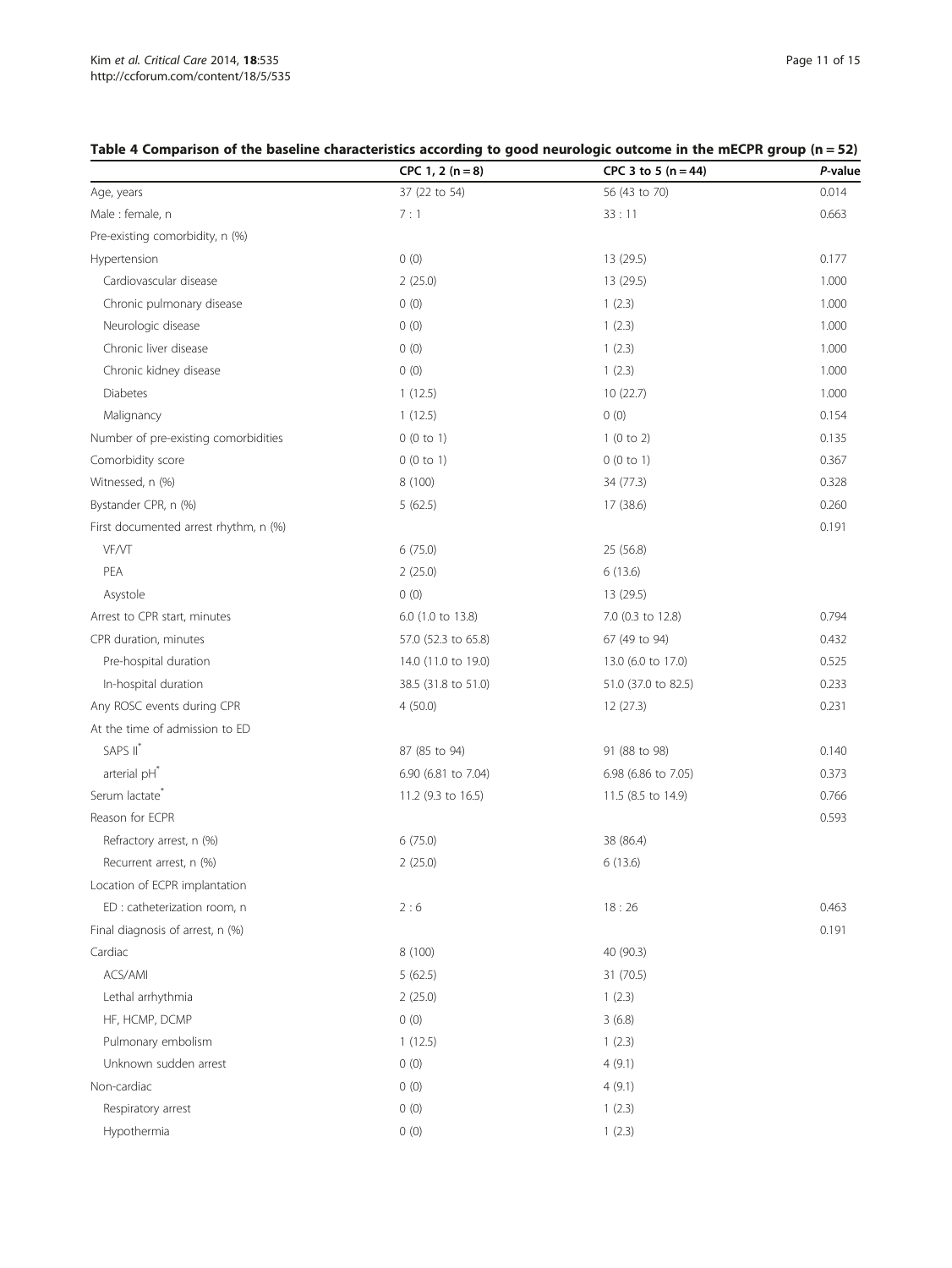# <span id="page-10-0"></span>Table 4 Comparison of the baseline characteristics according to good neurologic outcome in the mECPR group (n = 52)

|                                       | CPC $1, 2 (n = 8)$  | CPC 3 to 5 $(n = 44)$ | P-value |
|---------------------------------------|---------------------|-----------------------|---------|
| Age, years                            | 37 (22 to 54)       | 56 (43 to 70)         | 0.014   |
| Male : female, n                      | 7:1                 | 33:11                 | 0.663   |
| Pre-existing comorbidity, n (%)       |                     |                       |         |
| Hypertension                          | 0(0)                | 13 (29.5)             | 0.177   |
| Cardiovascular disease                | 2(25.0)             | 13 (29.5)             | 1.000   |
| Chronic pulmonary disease             | 0(0)                | 1(2.3)                | 1.000   |
| Neurologic disease                    | 0(0)                | 1(2.3)                | 1.000   |
| Chronic liver disease                 | 0(0)                | 1(2.3)                | 1.000   |
| Chronic kidney disease                | 0(0)                | 1(2.3)                | 1.000   |
| Diabetes                              | 1(12.5)             | 10(22.7)              | 1.000   |
| Malignancy                            | 1(12.5)             | 0(0)                  | 0.154   |
| Number of pre-existing comorbidities  | 0(0 to 1)           | 1(0 to 2)             | 0.135   |
| Comorbidity score                     | 0(0 to 1)           | 0(0 to 1)             | 0.367   |
| Witnessed, n (%)                      | 8 (100)             | 34 (77.3)             | 0.328   |
| Bystander CPR, n (%)                  | 5(62.5)             | 17 (38.6)             | 0.260   |
| First documented arrest rhythm, n (%) |                     |                       | 0.191   |
| VF/VT                                 | 6(75.0)             | 25 (56.8)             |         |
| PEA                                   | 2(25.0)             | 6(13.6)               |         |
| Asystole                              | 0(0)                | 13 (29.5)             |         |
| Arrest to CPR start, minutes          | 6.0 (1.0 to 13.8)   | 7.0 (0.3 to 12.8)     | 0.794   |
| CPR duration, minutes                 | 57.0 (52.3 to 65.8) | 67 (49 to 94)         | 0.432   |
| Pre-hospital duration                 | 14.0 (11.0 to 19.0) | 13.0 (6.0 to 17.0)    | 0.525   |
| In-hospital duration                  | 38.5 (31.8 to 51.0) | 51.0 (37.0 to 82.5)   | 0.233   |
| Any ROSC events during CPR            | 4(50.0)             | 12(27.3)              | 0.231   |
| At the time of admission to ED        |                     |                       |         |
| SAPS II*                              | 87 (85 to 94)       | 91 (88 to 98)         | 0.140   |
| arterial pH <sup>*</sup>              | 6.90 (6.81 to 7.04) | 6.98 (6.86 to 7.05)   | 0.373   |
| Serum lactate <sup>®</sup>            | 11.2 (9.3 to 16.5)  | 11.5 (8.5 to 14.9)    | 0.766   |
| Reason for ECPR                       |                     |                       | 0.593   |
| Refractory arrest, n (%)              | 6(75.0)             | 38 (86.4)             |         |
| Recurrent arrest, n (%)               | 2(25.0)             | 6(13.6)               |         |
| Location of ECPR implantation         |                     |                       |         |
| ED : catheterization room, n          | 2:6                 | 18:26                 | 0.463   |
| Final diagnosis of arrest, n (%)      |                     |                       | 0.191   |
| Cardiac                               | 8 (100)             | 40 (90.3)             |         |
| ACS/AMI                               | 5(62.5)             | 31 (70.5)             |         |
| Lethal arrhythmia                     | 2(25.0)             | 1(2.3)                |         |
| HF, HCMP, DCMP                        | 0(0)                | 3(6.8)                |         |
| Pulmonary embolism                    | 1(12.5)             | 1(2.3)                |         |
| Unknown sudden arrest                 | 0(0)                | 4(9.1)                |         |
| Non-cardiac                           | 0(0)                | 4(9.1)                |         |
| Respiratory arrest                    | 0(0)                | 1(2.3)                |         |
| Hypothermia                           | 0(0)                | 1(2.3)                |         |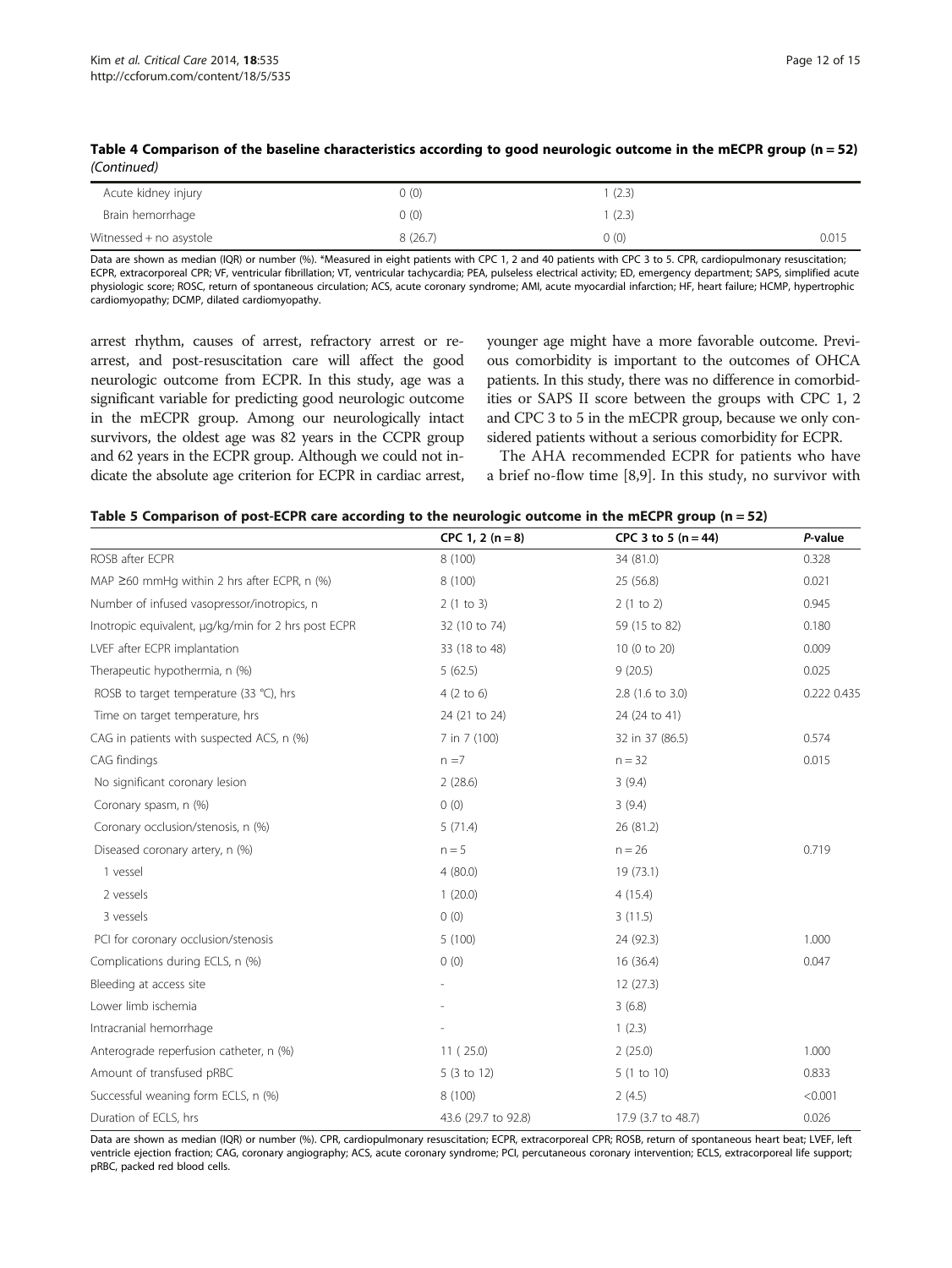| .                       |         |       |       |
|-------------------------|---------|-------|-------|
| Acute kidney injury     | 0 (0)   | (2.3) |       |
| Brain hemorrhage        | 0 (0)   | (2.3) |       |
| Witnessed + no asystole | 8(26.7) | 0(0)  | 0.015 |

## <span id="page-11-0"></span>Table 4 Comparison of the baseline characteristics according to good neurologic outcome in the mECPR group (n = 52) (Continued)

Data are shown as median (IQR) or number (%). \*Measured in eight patients with CPC 1, 2 and 40 patients with CPC 3 to 5. CPR, cardiopulmonary resuscitation; ECPR, extracorporeal CPR; VF, ventricular fibrillation; VT, ventricular tachycardia; PEA, pulseless electrical activity; ED, emergency department; SAPS, simplified acute physiologic score; ROSC, return of spontaneous circulation; ACS, acute coronary syndrome; AMI, acute myocardial infarction; HF, heart failure; HCMP, hypertrophic cardiomyopathy; DCMP, dilated cardiomyopathy.

arrest rhythm, causes of arrest, refractory arrest or rearrest, and post-resuscitation care will affect the good neurologic outcome from ECPR. In this study, age was a significant variable for predicting good neurologic outcome in the mECPR group. Among our neurologically intact survivors, the oldest age was 82 years in the CCPR group and 62 years in the ECPR group. Although we could not indicate the absolute age criterion for ECPR in cardiac arrest, younger age might have a more favorable outcome. Previous comorbidity is important to the outcomes of OHCA patients. In this study, there was no difference in comorbidities or SAPS II score between the groups with CPC 1, 2 and CPC 3 to 5 in the mECPR group, because we only considered patients without a serious comorbidity for ECPR.

The AHA recommended ECPR for patients who have a brief no-flow time [\[8,9](#page-14-0)]. In this study, no survivor with

|  | Table 5 Comparison of post-ECPR care according to the neurologic outcome in the mECPR group (n = 52) |  |  |  |
|--|------------------------------------------------------------------------------------------------------|--|--|--|
|--|------------------------------------------------------------------------------------------------------|--|--|--|

|                                                     | CPC 1, 2 $(n = 8)$   | CPC 3 to 5 $(n = 44)$ | P-value     |
|-----------------------------------------------------|----------------------|-----------------------|-------------|
| ROSB after ECPR                                     | 8 (100)              | 34 (81.0)             | 0.328       |
| MAP $\geq$ 60 mmHg within 2 hrs after ECPR, n (%)   | 8(100)               | 25 (56.8)             | 0.021       |
| Number of infused vasopressor/inotropics, n         | 2(1 to 3)            | 2(1 to 2)             | 0.945       |
| Inotropic equivalent, µg/kg/min for 2 hrs post ECPR | 32 (10 to 74)        | 59 (15 to 82)         | 0.180       |
| LVEF after ECPR implantation                        | 33 (18 to 48)        | 10 (0 to 20)          | 0.009       |
| Therapeutic hypothermia, n (%)                      | 5(62.5)              | 9(20.5)               | 0.025       |
| ROSB to target temperature (33 °C), hrs             | $4(2 \text{ to } 6)$ | 2.8 (1.6 to 3.0)      | 0.222 0.435 |
| Time on target temperature, hrs                     | 24 (21 to 24)        | 24 (24 to 41)         |             |
| CAG in patients with suspected ACS, n (%)           | 7 in 7 (100)         | 32 in 37 (86.5)       | 0.574       |
| CAG findings                                        | $n = 7$              | $n = 32$              | 0.015       |
| No significant coronary lesion                      | 2(28.6)              | 3(9.4)                |             |
| Coronary spasm, n (%)                               | 0(0)                 | 3(9.4)                |             |
| Coronary occlusion/stenosis, n (%)                  | 5(71.4)              | 26 (81.2)             |             |
| Diseased coronary artery, n (%)                     | $n = 5$              | $n = 26$              | 0.719       |
| 1 vessel                                            | 4(80.0)              | 19(73.1)              |             |
| 2 vessels                                           | 1(20.0)              | 4(15.4)               |             |
| 3 vessels                                           | 0(0)                 | 3(11.5)               |             |
| PCI for coronary occlusion/stenosis                 | 5(100)               | 24 (92.3)             | 1.000       |
| Complications during ECLS, n (%)                    | 0(0)                 | 16 (36.4)             | 0.047       |
| Bleeding at access site                             |                      | 12(27.3)              |             |
| Lower limb ischemia                                 |                      | 3(6.8)                |             |
| Intracranial hemorrhage                             |                      | 1(2.3)                |             |
| Anterograde reperfusion catheter, n (%)             | 11(25.0)             | 2(25.0)               | 1.000       |
| Amount of transfused pRBC                           | 5 (3 to 12)          | $5(1 \text{ to } 10)$ | 0.833       |
| Successful weaning form ECLS, n (%)                 | 8 (100)              | 2(4.5)                | < 0.001     |
| Duration of ECLS, hrs                               | 43.6 (29.7 to 92.8)  | 17.9 (3.7 to 48.7)    | 0.026       |

Data are shown as median (IQR) or number (%). CPR, cardiopulmonary resuscitation; ECPR, extracorporeal CPR; ROSB, return of spontaneous heart beat; LVEF, left ventricle ejection fraction; CAG, coronary angiography; ACS, acute coronary syndrome; PCI, percutaneous coronary intervention; ECLS, extracorporeal life support; pRBC, packed red blood cells.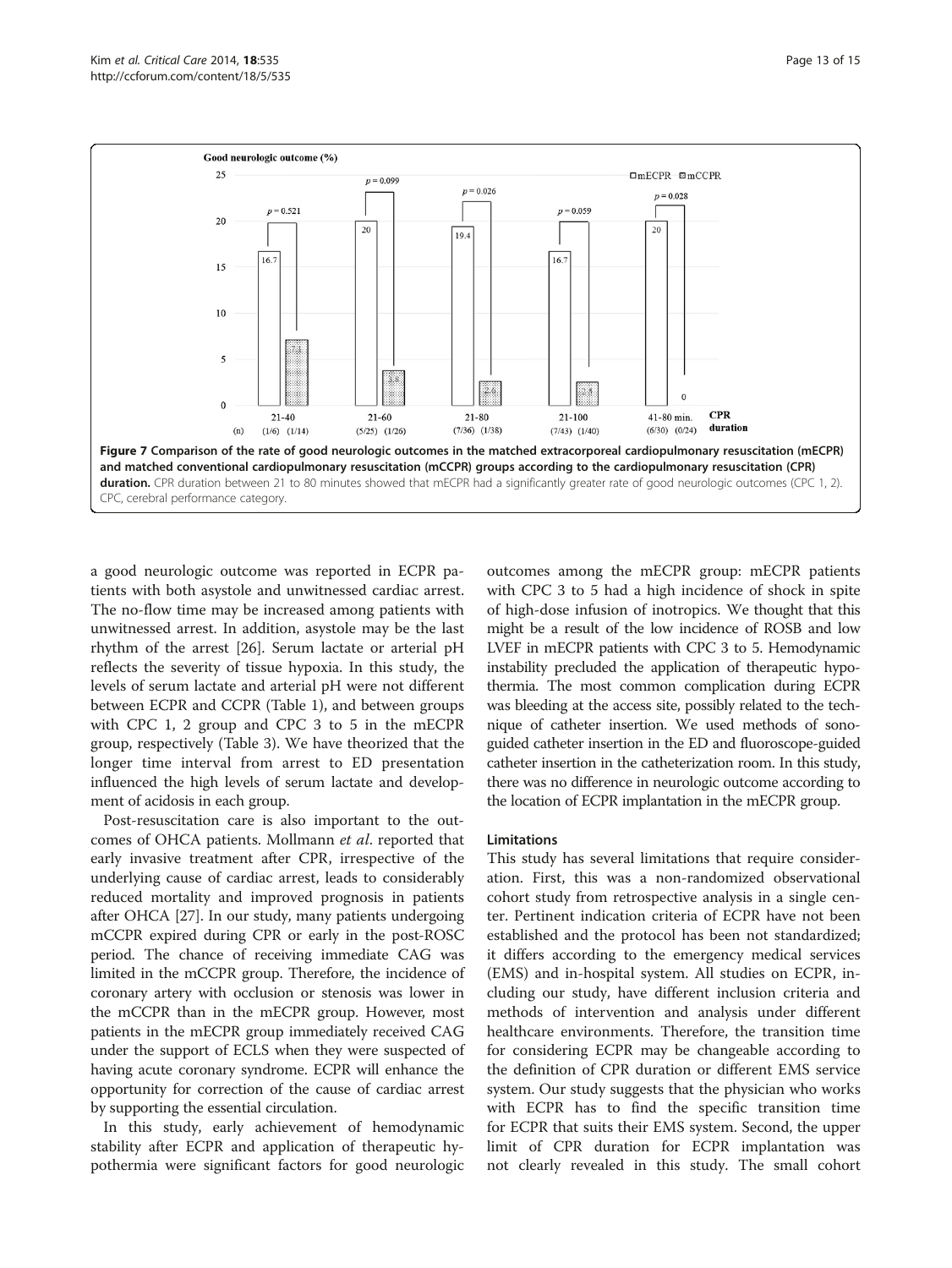<span id="page-12-0"></span>

a good neurologic outcome was reported in ECPR patients with both asystole and unwitnessed cardiac arrest. The no-flow time may be increased among patients with unwitnessed arrest. In addition, asystole may be the last rhythm of the arrest [[26\]](#page-14-0). Serum lactate or arterial pH reflects the severity of tissue hypoxia. In this study, the levels of serum lactate and arterial pH were not different between ECPR and CCPR (Table [1\)](#page-4-0), and between groups with CPC 1, 2 group and CPC 3 to 5 in the mECPR group, respectively (Table [3\)](#page-8-0). We have theorized that the longer time interval from arrest to ED presentation influenced the high levels of serum lactate and development of acidosis in each group.

Post-resuscitation care is also important to the outcomes of OHCA patients. Mollmann et al. reported that early invasive treatment after CPR, irrespective of the underlying cause of cardiac arrest, leads to considerably reduced mortality and improved prognosis in patients after OHCA [[27](#page-14-0)]. In our study, many patients undergoing mCCPR expired during CPR or early in the post-ROSC period. The chance of receiving immediate CAG was limited in the mCCPR group. Therefore, the incidence of coronary artery with occlusion or stenosis was lower in the mCCPR than in the mECPR group. However, most patients in the mECPR group immediately received CAG under the support of ECLS when they were suspected of having acute coronary syndrome. ECPR will enhance the opportunity for correction of the cause of cardiac arrest by supporting the essential circulation.

In this study, early achievement of hemodynamic stability after ECPR and application of therapeutic hypothermia were significant factors for good neurologic

outcomes among the mECPR group: mECPR patients with CPC 3 to 5 had a high incidence of shock in spite of high-dose infusion of inotropics. We thought that this might be a result of the low incidence of ROSB and low LVEF in mECPR patients with CPC 3 to 5. Hemodynamic instability precluded the application of therapeutic hypothermia. The most common complication during ECPR was bleeding at the access site, possibly related to the technique of catheter insertion. We used methods of sonoguided catheter insertion in the ED and fluoroscope-guided catheter insertion in the catheterization room. In this study, there was no difference in neurologic outcome according to the location of ECPR implantation in the mECPR group.

## Limitations

This study has several limitations that require consideration. First, this was a non-randomized observational cohort study from retrospective analysis in a single center. Pertinent indication criteria of ECPR have not been established and the protocol has been not standardized; it differs according to the emergency medical services (EMS) and in-hospital system. All studies on ECPR, including our study, have different inclusion criteria and methods of intervention and analysis under different healthcare environments. Therefore, the transition time for considering ECPR may be changeable according to the definition of CPR duration or different EMS service system. Our study suggests that the physician who works with ECPR has to find the specific transition time for ECPR that suits their EMS system. Second, the upper limit of CPR duration for ECPR implantation was not clearly revealed in this study. The small cohort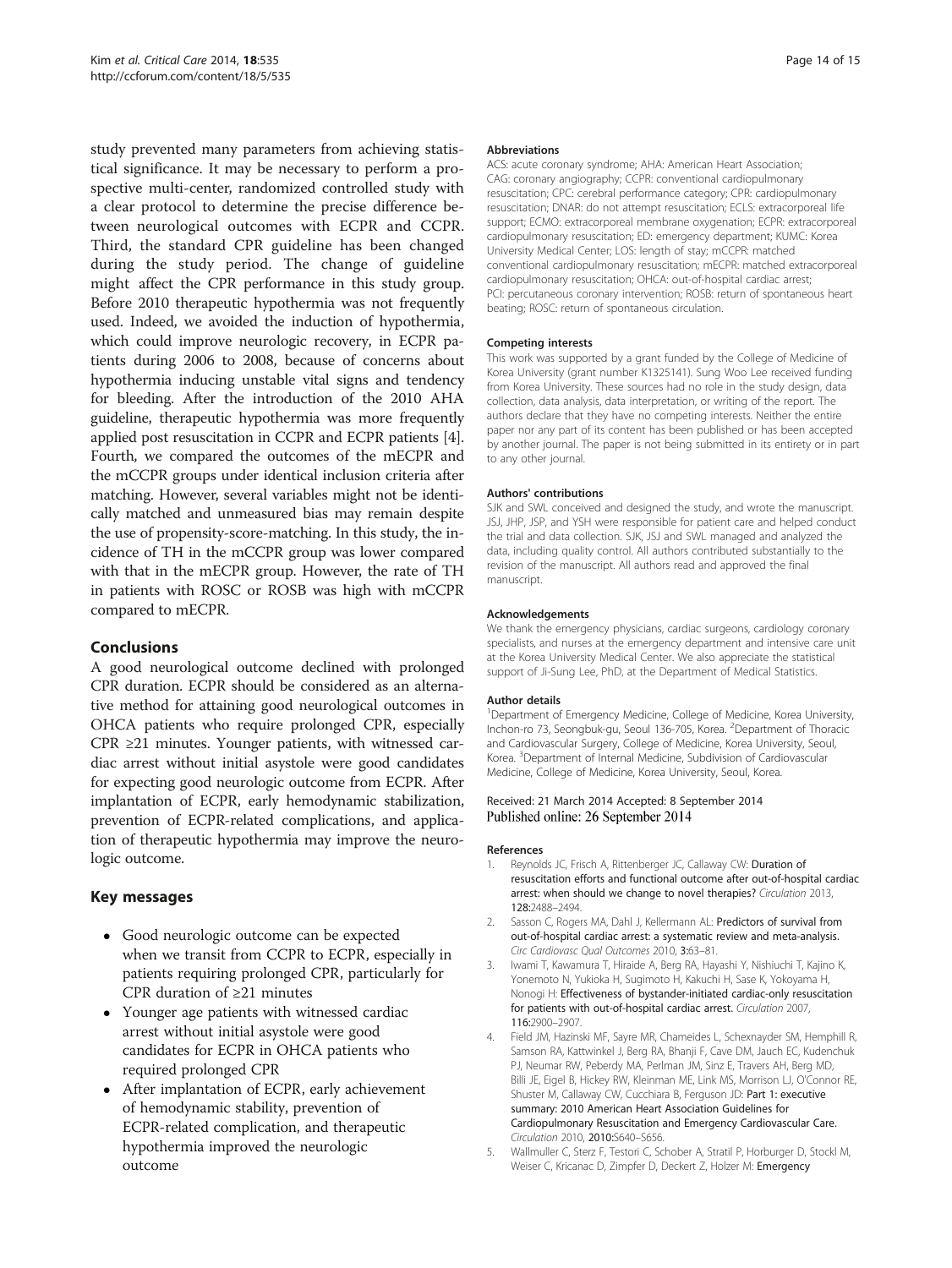<span id="page-13-0"></span>study prevented many parameters from achieving statistical significance. It may be necessary to perform a prospective multi-center, randomized controlled study with a clear protocol to determine the precise difference between neurological outcomes with ECPR and CCPR. Third, the standard CPR guideline has been changed during the study period. The change of guideline might affect the CPR performance in this study group. Before 2010 therapeutic hypothermia was not frequently used. Indeed, we avoided the induction of hypothermia, which could improve neurologic recovery, in ECPR patients during 2006 to 2008, because of concerns about hypothermia inducing unstable vital signs and tendency for bleeding. After the introduction of the 2010 AHA guideline, therapeutic hypothermia was more frequently applied post resuscitation in CCPR and ECPR patients [4]. Fourth, we compared the outcomes of the mECPR and the mCCPR groups under identical inclusion criteria after matching. However, several variables might not be identically matched and unmeasured bias may remain despite the use of propensity-score-matching. In this study, the incidence of TH in the mCCPR group was lower compared with that in the mECPR group. However, the rate of TH in patients with ROSC or ROSB was high with mCCPR compared to mECPR.

# Conclusions

A good neurological outcome declined with prolonged CPR duration. ECPR should be considered as an alternative method for attaining good neurological outcomes in OHCA patients who require prolonged CPR, especially CPR ≥21 minutes. Younger patients, with witnessed cardiac arrest without initial asystole were good candidates for expecting good neurologic outcome from ECPR. After implantation of ECPR, early hemodynamic stabilization, prevention of ECPR-related complications, and application of therapeutic hypothermia may improve the neurologic outcome.

# Key messages

- Good neurologic outcome can be expected when we transit from CCPR to ECPR, especially in patients requiring prolonged CPR, particularly for CPR duration of ≥21 minutes
- Younger age patients with witnessed cardiac arrest without initial asystole were good candidates for ECPR in OHCA patients who required prolonged CPR
- After implantation of ECPR, early achievement of hemodynamic stability, prevention of ECPR-related complication, and therapeutic hypothermia improved the neurologic outcome

#### **Abbreviations**

ACS: acute coronary syndrome; AHA: American Heart Association; CAG: coronary angiography; CCPR: conventional cardiopulmonary resuscitation; CPC: cerebral performance category; CPR: cardiopulmonary resuscitation; DNAR: do not attempt resuscitation; ECLS: extracorporeal life support; ECMO: extracorporeal membrane oxygenation; ECPR: extracorporeal cardiopulmonary resuscitation; ED: emergency department; KUMC: Korea University Medical Center; LOS: length of stay; mCCPR: matched conventional cardiopulmonary resuscitation; mECPR: matched extracorporeal cardiopulmonary resuscitation; OHCA: out-of-hospital cardiac arrest; PCI: percutaneous coronary intervention; ROSB: return of spontaneous heart beating; ROSC: return of spontaneous circulation.

#### Competing interests

This work was supported by a grant funded by the College of Medicine of Korea University (grant number K1325141). Sung Woo Lee received funding from Korea University. These sources had no role in the study design, data collection, data analysis, data interpretation, or writing of the report. The authors declare that they have no competing interests. Neither the entire paper nor any part of its content has been published or has been accepted by another journal. The paper is not being submitted in its entirety or in part to any other journal.

#### Authors' contributions

SJK and SWL conceived and designed the study, and wrote the manuscript. JSJ, JHP, JSP, and YSH were responsible for patient care and helped conduct the trial and data collection. SJK, JSJ and SWL managed and analyzed the data, including quality control. All authors contributed substantially to the revision of the manuscript. All authors read and approved the final manuscript.

#### Acknowledgements

We thank the emergency physicians, cardiac surgeons, cardiology coronary specialists, and nurses at the emergency department and intensive care unit at the Korea University Medical Center. We also appreciate the statistical support of Ji-Sung Lee, PhD, at the Department of Medical Statistics.

#### Author details

<sup>1</sup> Department of Emergency Medicine, College of Medicine, Korea University Inchon-ro 73, Seongbuk-gu, Seoul 136-705, Korea. <sup>2</sup>Department of Thoracic and Cardiovascular Surgery, College of Medicine, Korea University, Seoul, Korea. <sup>3</sup> Department of Internal Medicine, Subdivision of Cardiovascular Medicine, College of Medicine, Korea University, Seoul, Korea.

#### Received: 21 March 2014 Accepted: 8 September 2014 Published online: 26 September 2014

#### References

- 1. Reynolds JC, Frisch A, Rittenberger JC, Callaway CW: Duration of resuscitation efforts and functional outcome after out-of-hospital cardiac arrest: when should we change to novel therapies? Circulation 2013, 128:2488–2494.
- 2. Sasson C, Rogers MA, Dahl J, Kellermann AL: Predictors of survival from out-of-hospital cardiac arrest: a systematic review and meta-analysis. Circ Cardiovasc Qual Outcomes 2010, 3:63–81.
- 3. Iwami T, Kawamura T, Hiraide A, Berg RA, Hayashi Y, Nishiuchi T, Kajino K, Yonemoto N, Yukioka H, Sugimoto H, Kakuchi H, Sase K, Yokoyama H, Nonogi H: Effectiveness of bystander-initiated cardiac-only resuscitation for patients with out-of-hospital cardiac arrest. Circulation 2007, 116:2900–2907.
- 4. Field JM, Hazinski MF, Sayre MR, Chameides L, Schexnayder SM, Hemphill R, Samson RA, Kattwinkel J, Berg RA, Bhanji F, Cave DM, Jauch EC, Kudenchuk PJ, Neumar RW, Peberdy MA, Perlman JM, Sinz E, Travers AH, Berg MD, Billi JE, Eigel B, Hickey RW, Kleinman ME, Link MS, Morrison LJ, O'Connor RE, Shuster M, Callaway CW, Cucchiara B, Ferguson JD: Part 1: executive summary: 2010 American Heart Association Guidelines for Cardiopulmonary Resuscitation and Emergency Cardiovascular Care. Circulation 2010, 2010:S640–S656.
- 5. Wallmuller C, Sterz F, Testori C, Schober A, Stratil P, Horburger D, Stockl M, Weiser C, Kricanac D, Zimpfer D, Deckert Z, Holzer M: Emergency